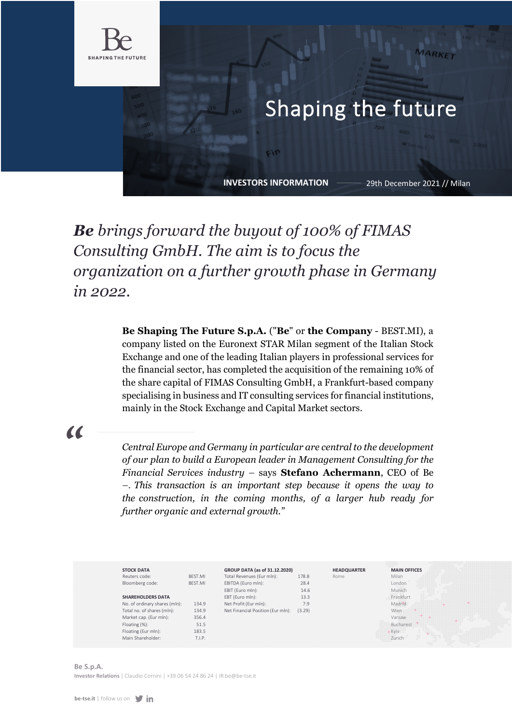

## Shaping the future

**INVESTORS INFORMATION**

29th December 2021 // Milan

## *Be brings forward the buyout of 100% of FIMAS Consulting GmbH. The aim is to focus the organization on a further growth phase in Germany in 2022.*

**Be Shaping The Future S.p.A.** ("**Be**" or **the Company** - BEST.MI), a company listed on the Euronext STAR Milan segment of the Italian Stock Exchange and one of the leading Italian players in professional services for the financial sector, has completed the acquisition of the remaining 10% of the share capital of FIMAS Consulting GmbH, a Frankfurt-based company specialising in business and IT consulting services for financial institutions, mainly in the Stock Exchange and Capital Market sectors.

## $\alpha$

*Central Europe and Germany in particular are central to the development of our plan to build a European leader in Management Consulting for the Financial Services industry* – says **Stefano Achermann**, CEO of Be *–. This transaction is an important step because it opens the way to the construction, in the coming months, of a larger hub ready for further organic and external growth."* 

| <b>STOCK DATA</b>             |         | GROUP DATA (as of 31.12.2020)     |        | <b>HEADQUARTER</b> | <b>MAIN OFFICES</b> |
|-------------------------------|---------|-----------------------------------|--------|--------------------|---------------------|
| Reuters code:                 | BEST.MI | Total Revenues (Eur mln):         | 178.8  | Rome               | Milan               |
| Bloomberg code:               | BEST.MI | EBITDA (Euro mln):                | 28.4   |                    | London              |
|                               |         | EBIT (Euro mln):                  | 14.6   |                    | Munich              |
| <b>SHAREHOLDERS DATA</b>      |         | EBT (Euro mln):                   | 13.3   |                    | Frankfurt           |
| No. of ordinary shares (mln): | 134.9   | Net Profit (Eur mln):             | 7.9    |                    | Madrid              |
| Total no. of shares (mln):    | 134.9   | Net Financial Position (Eur mln): | (3.29) |                    | Wien                |
| Market cap. (Eur mln):        | 356.4   |                                   |        |                    | Varsaw              |
| Floating (%):                 | 51.5    |                                   |        |                    | Bucharest           |
| Floating (Eur mln):           | 183.5   |                                   |        |                    | $K$ viv             |
| Main Shareholder:             | T.I.P.  |                                   |        |                    | Zurich              |

**Be S.p.A. Investor Relations** | Claudio Cornini | +39 06 54 24 86 24 | IR.be@be-tse.it